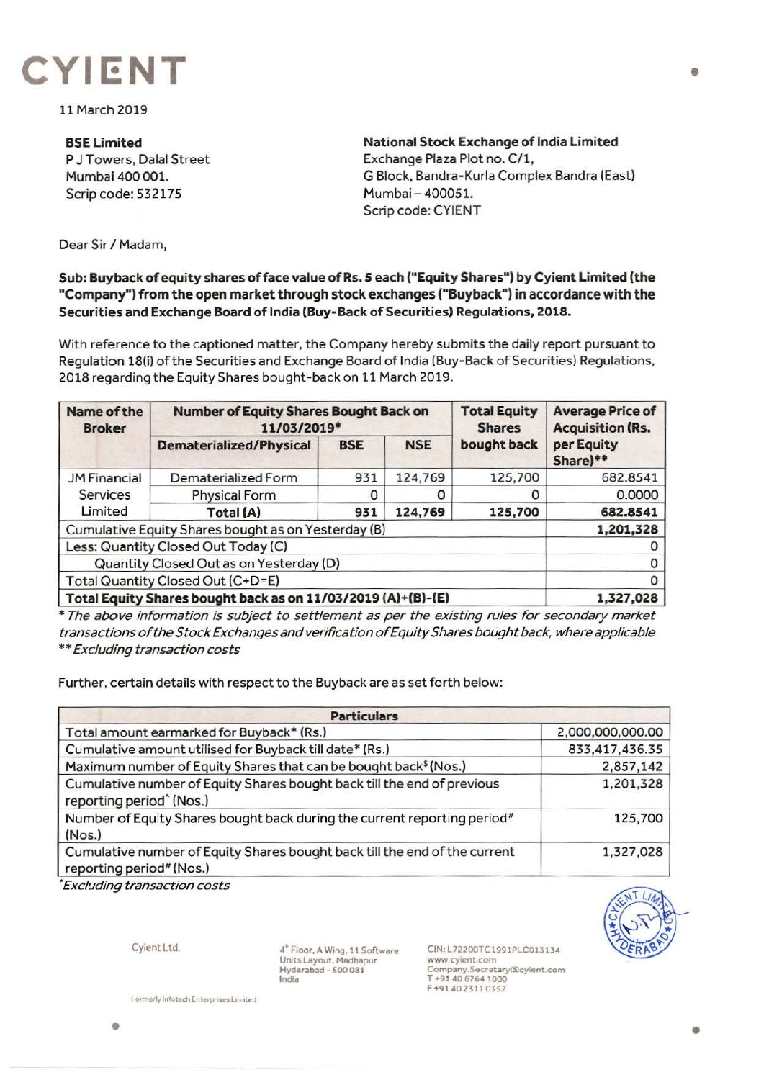

11 March 2019

**BSELimited**  P J Towers, Dalal Street Mumbai 400 001. Scrip code: 532175

**National Stock Exchange of India Limited**  Exchange Plaza Plot no. C/1, G Block, Bandra-Kurla Complex Bandra (East) Mumbai - 400051. Scrip code: CYIENT

Dear Sir *I* Madam,

**Sub: Buyback of equity shares of face value of Rs. 5 each ("Equity Shares") by Cyient Limited (the "Company') from the open market through stock exchanges ("Buyback") in accordance with the Securities and Exchange Board of India (Buy-Back of Securities) Regulations, 2018.** 

With reference to the captioned matter, the Company hereby submits the daily report pursuant to Regulation 18(i) of the Securities and Exchange Board of India (Buy-Back of Securities) Regulations, **2018** regarding the Equity Shares bought-back on 11 March 2019.

| Name of the<br><b>Broker</b>                                 | <b>Number of Equity Shares Bought Back on</b><br>11/03/2019* |            |            | <b>Total Equity</b><br><b>Shares</b> | <b>Average Price of</b><br><b>Acquisition (Rs.</b> |
|--------------------------------------------------------------|--------------------------------------------------------------|------------|------------|--------------------------------------|----------------------------------------------------|
|                                                              | <b>Dematerialized/Physical</b>                               | <b>BSE</b> | <b>NSE</b> | bought back                          | per Equity<br>Share)**                             |
| <b>JM Financial</b><br>Services<br>Limited                   | Dematerialized Form                                          | 931        | 124,769    | 125,700                              | 682.8541                                           |
|                                                              | <b>Physical Form</b>                                         |            |            | O                                    | 0.0000                                             |
|                                                              | <b>Total (A)</b>                                             | 931        | 124,769    | 125,700                              | 682.8541                                           |
| Cumulative Equity Shares bought as on Yesterday (B)          |                                                              |            |            |                                      | 1,201,328                                          |
| Less: Quantity Closed Out Today (C)                          |                                                              |            |            |                                      |                                                    |
| Quantity Closed Out as on Yesterday (D)                      |                                                              |            |            |                                      |                                                    |
| Total Quantity Closed Out (C+D=E)                            |                                                              |            |            |                                      |                                                    |
| Total Equity Shares bought back as on 11/03/2019 (A)+(B)-(E) |                                                              |            |            |                                      | 1,327,028                                          |

\* The above information is subject to settlement as per the existing rules for secondary market transactions of the Stock Exchanges and verification of Equity Shares bought back, where applicable \*\*Excluding transaction costs

Further, certain details with respect to the Buyback are as set forth below:

| <b>Particulars</b>                                                                                              |                  |  |  |  |
|-----------------------------------------------------------------------------------------------------------------|------------------|--|--|--|
| Total amount earmarked for Buyback* (Rs.)                                                                       | 2,000,000,000.00 |  |  |  |
| Cumulative amount utilised for Buyback till date* (Rs.)                                                         | 833,417,436.35   |  |  |  |
| Maximum number of Equity Shares that can be bought back <sup>\$</sup> (Nos.)                                    | 2,857,142        |  |  |  |
| Cumulative number of Equity Shares bought back till the end of previous<br>reporting period <sup>^</sup> (Nos.) | 1,201,328        |  |  |  |
| Number of Equity Shares bought back during the current reporting period <sup>#</sup><br>(Nos.)                  | 125,700          |  |  |  |
| Cumulative number of Equity Shares bought back till the end of the current<br>reporting period# (Nos.)          | 1,327,028        |  |  |  |

• Excluding transaction costs



Cylent Ltd.

4"Floor, A Wing. 11 Software Units Layout, Madhapur Hyderabad - 500 081 India

CIN,L72200TG1991PLC013134 www.cyient.com Company.Secretary@cylent.com<br>T +91 40 6764 1000 F +91402311 0352

 $Formerly infected. Enterprises Limited$ 

•